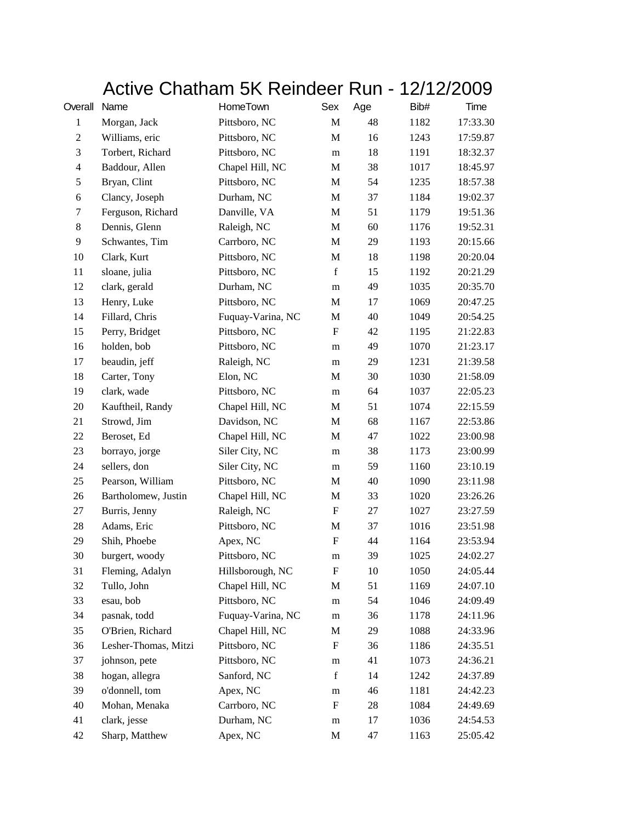## Active Chatham 5K Reindeer Run - 12/12/2009

| Overall          | Name                 | HomeTown          | Sex                       | Age | Bib# | Time     |
|------------------|----------------------|-------------------|---------------------------|-----|------|----------|
| $\mathbf{1}$     | Morgan, Jack         | Pittsboro, NC     | $\mathbf M$               | 48  | 1182 | 17:33.30 |
| $\boldsymbol{2}$ | Williams, eric       | Pittsboro, NC     | M                         | 16  | 1243 | 17:59.87 |
| $\mathfrak{Z}$   | Torbert, Richard     | Pittsboro, NC     | ${\bf m}$                 | 18  | 1191 | 18:32.37 |
| $\overline{4}$   | Baddour, Allen       | Chapel Hill, NC   | M                         | 38  | 1017 | 18:45.97 |
| 5                | Bryan, Clint         | Pittsboro, NC     | M                         | 54  | 1235 | 18:57.38 |
| 6                | Clancy, Joseph       | Durham, NC        | M                         | 37  | 1184 | 19:02.37 |
| 7                | Ferguson, Richard    | Danville, VA      | M                         | 51  | 1179 | 19:51.36 |
| 8                | Dennis, Glenn        | Raleigh, NC       | $\mathbf M$               | 60  | 1176 | 19:52.31 |
| 9                | Schwantes, Tim       | Carrboro, NC      | M                         | 29  | 1193 | 20:15.66 |
| 10               | Clark, Kurt          | Pittsboro, NC     | M                         | 18  | 1198 | 20:20.04 |
| 11               | sloane, julia        | Pittsboro, NC     | $\mathbf f$               | 15  | 1192 | 20:21.29 |
| 12               | clark, gerald        | Durham, NC        | m                         | 49  | 1035 | 20:35.70 |
| 13               | Henry, Luke          | Pittsboro, NC     | M                         | 17  | 1069 | 20:47.25 |
| 14               | Fillard, Chris       | Fuquay-Varina, NC | M                         | 40  | 1049 | 20:54.25 |
| 15               | Perry, Bridget       | Pittsboro, NC     | $\mathbf F$               | 42  | 1195 | 21:22.83 |
| 16               | holden, bob          | Pittsboro, NC     | m                         | 49  | 1070 | 21:23.17 |
| 17               | beaudin, jeff        | Raleigh, NC       | m                         | 29  | 1231 | 21:39.58 |
| 18               | Carter, Tony         | Elon, NC          | M                         | 30  | 1030 | 21:58.09 |
| 19               | clark, wade          | Pittsboro, NC     | m                         | 64  | 1037 | 22:05.23 |
| 20               | Kauftheil, Randy     | Chapel Hill, NC   | M                         | 51  | 1074 | 22:15.59 |
| 21               | Strowd, Jim          | Davidson, NC      | M                         | 68  | 1167 | 22:53.86 |
| 22               | Beroset, Ed          | Chapel Hill, NC   | M                         | 47  | 1022 | 23:00.98 |
| 23               | borrayo, jorge       | Siler City, NC    | m                         | 38  | 1173 | 23:00.99 |
| 24               | sellers, don         | Siler City, NC    | m                         | 59  | 1160 | 23:10.19 |
| 25               | Pearson, William     | Pittsboro, NC     | M                         | 40  | 1090 | 23:11.98 |
| 26               | Bartholomew, Justin  | Chapel Hill, NC   | $\mathbf M$               | 33  | 1020 | 23:26.26 |
| 27               | Burris, Jenny        | Raleigh, NC       | ${\rm F}$                 | 27  | 1027 | 23:27.59 |
| 28               | Adams, Eric          | Pittsboro, NC     | $\mathbf M$               | 37  | 1016 | 23:51.98 |
| 29               | Shih, Phoebe         | Apex, NC          | $\boldsymbol{\mathrm{F}}$ | 44  | 1164 | 23:53.94 |
| 30               | burgert, woody       | Pittsboro, NC     | m                         | 39  | 1025 | 24:02.27 |
| 31               | Fleming, Adalyn      | Hillsborough, NC  | F                         | 10  | 1050 | 24:05.44 |
| 32               | Tullo, John          | Chapel Hill, NC   | M                         | 51  | 1169 | 24:07.10 |
| 33               | esau, bob            | Pittsboro, NC     | m                         | 54  | 1046 | 24:09.49 |
| 34               | pasnak, todd         | Fuquay-Varina, NC | ${\bf m}$                 | 36  | 1178 | 24:11.96 |
| 35               | O'Brien, Richard     | Chapel Hill, NC   | M                         | 29  | 1088 | 24:33.96 |
| 36               | Lesher-Thomas, Mitzi | Pittsboro, NC     | F                         | 36  | 1186 | 24:35.51 |
| 37               | johnson, pete        | Pittsboro, NC     | m                         | 41  | 1073 | 24:36.21 |
| 38               | hogan, allegra       | Sanford, NC       | $\mathbf f$               | 14  | 1242 | 24:37.89 |
| 39               | o'donnell, tom       | Apex, NC          | m                         | 46  | 1181 | 24:42.23 |
| 40               | Mohan, Menaka        | Carrboro, NC      | F                         | 28  | 1084 | 24:49.69 |
| 41               | clark, jesse         | Durham, NC        | ${\bf m}$                 | 17  | 1036 | 24:54.53 |
| 42               | Sharp, Matthew       | Apex, NC          | M                         | 47  | 1163 | 25:05.42 |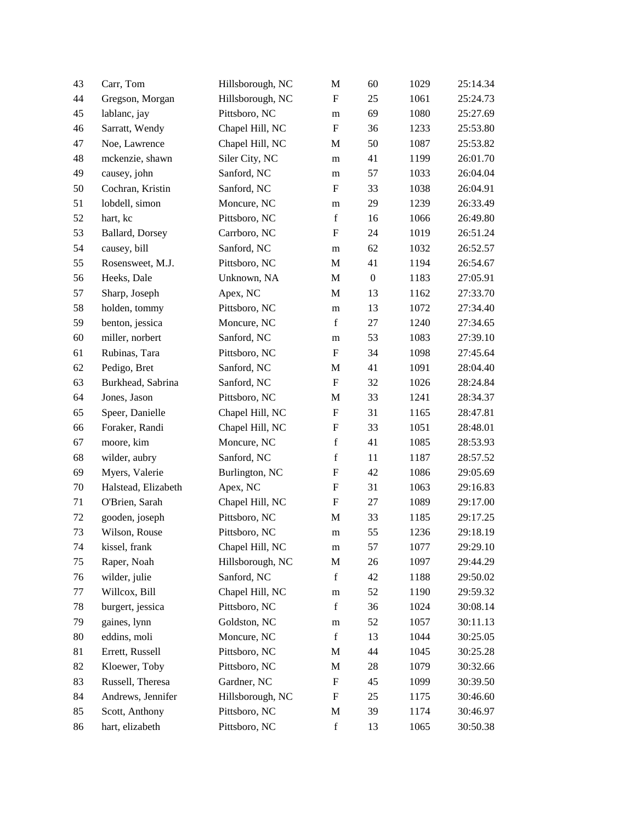| 43     | Carr, Tom           | Hillsborough, NC | $\mathbf M$               | 60               | 1029 | 25:14.34 |
|--------|---------------------|------------------|---------------------------|------------------|------|----------|
| 44     | Gregson, Morgan     | Hillsborough, NC | $\mathbf{F}$              | 25               | 1061 | 25:24.73 |
| 45     | lablanc, jay        | Pittsboro, NC    | m                         | 69               | 1080 | 25:27.69 |
| 46     | Sarratt, Wendy      | Chapel Hill, NC  | ${\bf F}$                 | 36               | 1233 | 25:53.80 |
| 47     | Noe, Lawrence       | Chapel Hill, NC  | M                         | 50               | 1087 | 25:53.82 |
| 48     | mckenzie, shawn     | Siler City, NC   | m                         | 41               | 1199 | 26:01.70 |
| 49     | causey, john        | Sanford, NC      | m                         | 57               | 1033 | 26:04.04 |
| 50     | Cochran, Kristin    | Sanford, NC      | $\mathbf{F}$              | 33               | 1038 | 26:04.91 |
| 51     | lobdell, simon      | Moncure, NC      | m                         | 29               | 1239 | 26:33.49 |
| 52     | hart, kc            | Pittsboro, NC    | $\mathbf f$               | 16               | 1066 | 26:49.80 |
| 53     | Ballard, Dorsey     | Carrboro, NC     | $\boldsymbol{\mathrm{F}}$ | 24               | 1019 | 26:51.24 |
| 54     | causey, bill        | Sanford, NC      | m                         | 62               | 1032 | 26:52.57 |
| 55     | Rosensweet, M.J.    | Pittsboro, NC    | $\mathbf M$               | 41               | 1194 | 26:54.67 |
| 56     | Heeks, Dale         | Unknown, NA      | M                         | $\boldsymbol{0}$ | 1183 | 27:05.91 |
| 57     | Sharp, Joseph       | Apex, NC         | M                         | 13               | 1162 | 27:33.70 |
| 58     | holden, tommy       | Pittsboro, NC    | m                         | 13               | 1072 | 27:34.40 |
| 59     | benton, jessica     | Moncure, NC      | $\mathbf f$               | 27               | 1240 | 27:34.65 |
| 60     | miller, norbert     | Sanford, NC      | m                         | 53               | 1083 | 27:39.10 |
| 61     | Rubinas, Tara       | Pittsboro, NC    | ${\bf F}$                 | 34               | 1098 | 27:45.64 |
| 62     | Pedigo, Bret        | Sanford, NC      | $\mathbf M$               | 41               | 1091 | 28:04.40 |
| 63     | Burkhead, Sabrina   | Sanford, NC      | $\boldsymbol{\mathrm{F}}$ | 32               | 1026 | 28:24.84 |
| 64     | Jones, Jason        | Pittsboro, NC    | M                         | 33               | 1241 | 28:34.37 |
| 65     | Speer, Danielle     | Chapel Hill, NC  | ${\bf F}$                 | 31               | 1165 | 28:47.81 |
| 66     | Foraker, Randi      | Chapel Hill, NC  | ${\bf F}$                 | 33               | 1051 | 28:48.01 |
| 67     | moore, kim          | Moncure, NC      | $\mathbf f$               | 41               | 1085 | 28:53.93 |
| 68     | wilder, aubry       | Sanford, NC      | $\mathbf f$               | 11               | 1187 | 28:57.52 |
| 69     | Myers, Valerie      | Burlington, NC   | ${\bf F}$                 | 42               | 1086 | 29:05.69 |
| $70\,$ | Halstead, Elizabeth | Apex, NC         | $\boldsymbol{F}$          | 31               | 1063 | 29:16.83 |
| 71     | O'Brien, Sarah      | Chapel Hill, NC  | ${\bf F}$                 | 27               | 1089 | 29:17.00 |
| 72     | gooden, joseph      | Pittsboro, NC    | M                         | 33               | 1185 | 29:17.25 |
| 73     | Wilson, Rouse       | Pittsboro, NC    | m                         | 55               | 1236 | 29:18.19 |
| 74     | kissel, frank       | Chapel Hill, NC  | m                         | 57               | 1077 | 29:29.10 |
| 75     | Raper, Noah         | Hillsborough, NC | $\mathbf M$               | 26               | 1097 | 29:44.29 |
| 76     | wilder, julie       | Sanford, NC      | $\mathbf f$               | 42               | 1188 | 29:50.02 |
| 77     | Willcox, Bill       | Chapel Hill, NC  | m                         | 52               | 1190 | 29:59.32 |
| 78     | burgert, jessica    | Pittsboro, NC    | $\mathbf f$               | 36               | 1024 | 30:08.14 |
| 79     | gaines, lynn        | Goldston, NC     | m                         | 52               | 1057 | 30:11.13 |
| $80\,$ | eddins, moli        | Moncure, NC      | f                         | 13               | 1044 | 30:25.05 |
| 81     | Errett, Russell     | Pittsboro, NC    | M                         | 44               | 1045 | 30:25.28 |
| 82     | Kloewer, Toby       | Pittsboro, NC    | M                         | 28               | 1079 | 30:32.66 |
| 83     | Russell, Theresa    | Gardner, NC      | $\boldsymbol{\mathrm{F}}$ | 45               | 1099 | 30:39.50 |
| 84     | Andrews, Jennifer   | Hillsborough, NC | F                         | 25               | 1175 | 30:46.60 |
| 85     | Scott, Anthony      | Pittsboro, NC    | M                         | 39               | 1174 | 30:46.97 |
| 86     | hart, elizabeth     | Pittsboro, NC    | $\mathbf f$               | 13               | 1065 | 30:50.38 |